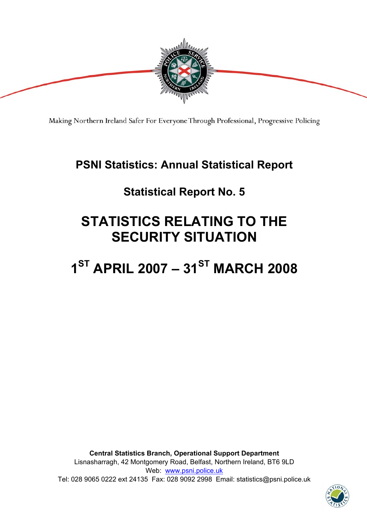

Making Northern Ireland Safer For Everyone Through Professional, Progressive Policing

# **PSNI Statistics: Annual Statistical Report**

# **Statistical Report No. 5**

# **STATISTICS RELATING TO THE SECURITY SITUATION**

# 1<sup>ST</sup> APRIL 2007 - 31<sup>ST</sup> MARCH 2008

**Central Statistics Branch, Operational Support Department**  Lisnasharragh, 42 Montgomery Road, Belfast, Northern Ireland, BT6 9LD Web: www.psni.police.uk Tel: 028 9065 0222 ext 24135 Fax: 028 9092 2998 Email: statistics@psni.police.uk

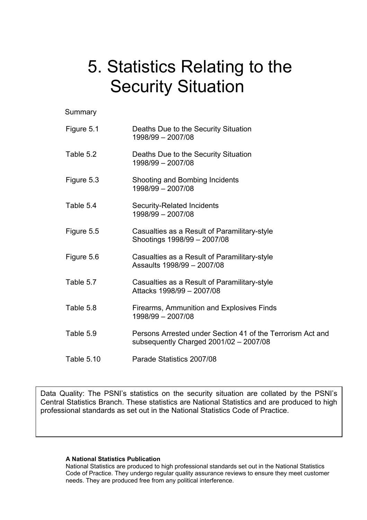# 5. Statistics Relating to the Security Situation

Summary

| Figure 5.1 | Deaths Due to the Security Situation<br>1998/99 - 2007/08                                              |
|------------|--------------------------------------------------------------------------------------------------------|
| Table 5.2  | Deaths Due to the Security Situation<br>1998/99 - 2007/08                                              |
| Figure 5.3 | Shooting and Bombing Incidents<br>1998/99 - 2007/08                                                    |
| Table 5.4  | <b>Security-Related Incidents</b><br>1998/99 - 2007/08                                                 |
| Figure 5.5 | Casualties as a Result of Paramilitary-style<br>Shootings 1998/99 - 2007/08                            |
| Figure 5.6 | Casualties as a Result of Paramilitary-style<br>Assaults 1998/99 - 2007/08                             |
| Table 5.7  | Casualties as a Result of Paramilitary-style<br>Attacks 1998/99 - 2007/08                              |
| Table 5.8  | Firearms, Ammunition and Explosives Finds<br>1998/99 - 2007/08                                         |
| Table 5.9  | Persons Arrested under Section 41 of the Terrorism Act and<br>subsequently Charged $2001/02 - 2007/08$ |
| Table 5.10 | Parade Statistics 2007/08                                                                              |

Data Quality: The PSNI's statistics on the security situation are collated by the PSNI's Central Statistics Branch. These statistics are National Statistics and are produced to high professional standards as set out in the National Statistics Code of Practice.

#### **A National Statistics Publication**

National Statistics are produced to high professional standards set out in the National Statistics Code of Practice. They undergo regular quality assurance reviews to ensure they meet customer needs. They are produced free from any political interference.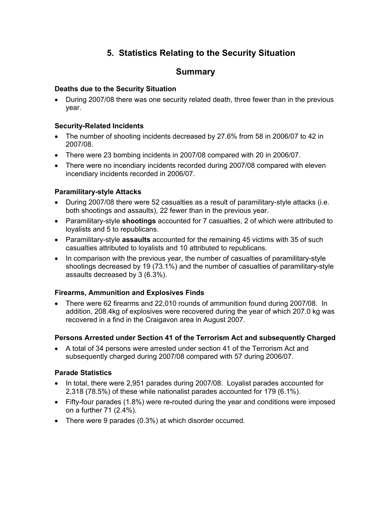## **5. Statistics Relating to the Security Situation**

## **Summary**

### **Deaths due to the Security Situation**

• During 2007/08 there was one security related death, three fewer than in the previous year.

### **Security-Related Incidents**

- The number of shooting incidents decreased by 27.6% from 58 in 2006/07 to 42 in 2007/08.
- There were 23 bombing incidents in 2007/08 compared with 20 in 2006/07.
- There were no incendiary incidents recorded during 2007/08 compared with eleven incendiary incidents recorded in 2006/07.

### **Paramilitary-style Attacks**

- During 2007/08 there were 52 casualties as a result of paramilitary-style attacks (i.e. both shootings and assaults), 22 fewer than in the previous year.
- Paramilitary-style **shootings** accounted for 7 casualties, 2 of which were attributed to loyalists and 5 to republicans.
- Paramilitary-style **assaults** accounted for the remaining 45 victims with 35 of such casualties attributed to loyalists and 10 attributed to republicans.
- In comparison with the previous year, the number of casualties of paramilitary-style shootings decreased by 19 (73.1%) and the number of casualties of paramilitary-style assaults decreased by 3 (6.3%).

#### **Firearms, Ammunition and Explosives Finds**

• There were 62 firearms and 22,010 rounds of ammunition found during 2007/08. In addition, 208.4kg of explosives were recovered during the year of which 207.0 kg was recovered in a find in the Craigavon area in August 2007.

#### **Persons Arrested under Section 41 of the Terrorism Act and subsequently Charged**

• A total of 34 persons were arrested under section 41 of the Terrorism Act and subsequently charged during 2007/08 compared with 57 during 2006/07.

### **Parade Statistics**

- In total, there were 2,951 parades during 2007/08. Loyalist parades accounted for 2,318 (78.5%) of these while nationalist parades accounted for 179 (6.1%).
- Fifty-four parades (1.8%) were re-routed during the year and conditions were imposed on a further 71 (2.4%).
- There were 9 parades (0.3%) at which disorder occurred.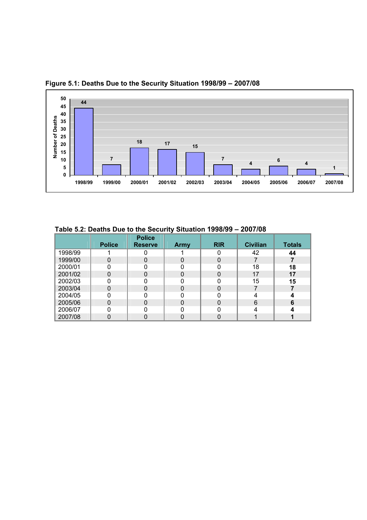

 **Figure 5.1: Deaths Due to the Security Situation 1998/99 – 2007/08**

|         |               | <b>Police</b>  |      |            |                 |               |  |  |
|---------|---------------|----------------|------|------------|-----------------|---------------|--|--|
|         | <b>Police</b> | <b>Reserve</b> | Army | <b>RIR</b> | <b>Civilian</b> | <b>Totals</b> |  |  |
| 1998/99 |               |                |      |            | 42              | 44            |  |  |
| 1999/00 |               |                |      |            |                 |               |  |  |
| 2000/01 |               |                |      |            | 18              | 18            |  |  |
| 2001/02 |               |                |      |            | 17              | 17            |  |  |
| 2002/03 |               |                |      |            | 15              | 15            |  |  |
| 2003/04 | N             |                |      |            |                 |               |  |  |
| 2004/05 |               |                |      |            |                 |               |  |  |
| 2005/06 |               |                |      |            | 6               | 6             |  |  |
| 2006/07 |               |                |      |            |                 |               |  |  |
| 2007/08 |               |                |      |            |                 |               |  |  |

 **Table 5.2: Deaths Due to the Security Situation 1998/99 – 2007/08**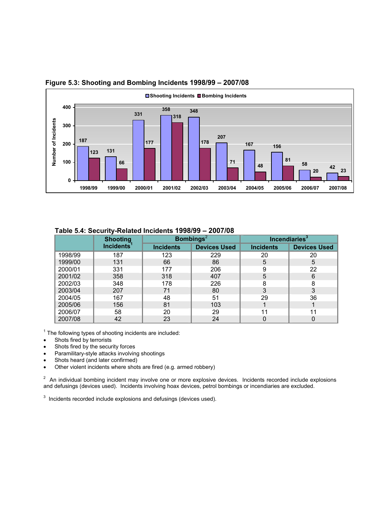

#### **Figure 5.3: Shooting and Bombing Incidents 1998/99 – 2007/08**

|  | Table 5.4: Security-Related Incidents 1998/99 - 2007/08 |  |
|--|---------------------------------------------------------|--|
|  |                                                         |  |

|         | <b>Shooting</b>        |                  | <b>Bombings</b> $^{2}$ |                  | Incendiaries $3$    |  |
|---------|------------------------|------------------|------------------------|------------------|---------------------|--|
|         | Incidents <sup>1</sup> | <b>Incidents</b> | <b>Devices Used</b>    | <b>Incidents</b> | <b>Devices Used</b> |  |
| 1998/99 | 187                    | 123              | 229                    | 20               | 20                  |  |
| 1999/00 | 131                    | 66               | 86                     | 5                | 5                   |  |
| 2000/01 | 331                    | 177              | 206                    | 9                | 22                  |  |
| 2001/02 | 358                    | 318              | 407                    | 5                | 6                   |  |
| 2002/03 | 348                    | 178              | 226                    | 8                | 8                   |  |
| 2003/04 | 207                    | 71               | 80                     | 3                | 3                   |  |
| 2004/05 | 167                    | 48               | 51                     | 29               | 36                  |  |
| 2005/06 | 156                    | 81               | 103                    |                  |                     |  |
| 2006/07 | 58                     | 20               | 29                     | 11               | 11                  |  |
| 2007/08 | 42                     | 23               | 24                     |                  |                     |  |

 $1$  The following types of shooting incidents are included:

- Shots fired by terrorists
- Shots fired by the security forces
- Paramilitary-style attacks involving shootings
- Shots heard (and later confirmed)
- Other violent incidents where shots are fired (e.g. armed robbery)

 $2$  An individual bombing incident may involve one or more explosive devices. Incidents recorded include explosions and defusings (devices used). Incidents involving hoax devices, petrol bombings or incendiaries are excluded.

 $3$  Incidents recorded include explosions and defusings (devices used).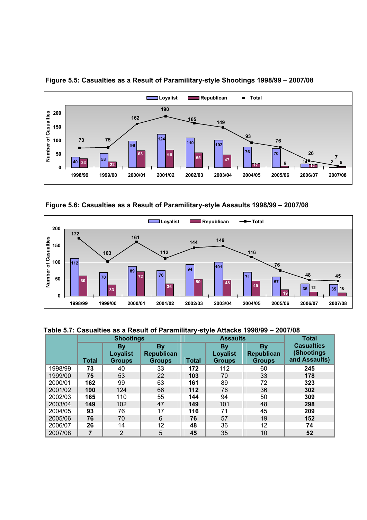

 **Figure 5.5: Casualties as a Result of Paramilitary-style Shootings 1998/99 – 2007/08** 

 **Figure 5.6: Casualties as a Result of Paramilitary-style Assaults 1998/99 – 2007/08** 



#### **Table 5.7: Casualties as a Result of Paramilitary-style Attacks 1998/99 – 2007/08**

|         | <b>Shootings</b> |                                               |                                          |              | <b>Assaults</b>                               | <b>Total</b>                                    |                                                  |
|---------|------------------|-----------------------------------------------|------------------------------------------|--------------|-----------------------------------------------|-------------------------------------------------|--------------------------------------------------|
|         | <b>Total</b>     | <b>By</b><br><b>Loyalist</b><br><b>Groups</b> | <b>By</b><br>Republican<br><b>Groups</b> | <b>Total</b> | <b>By</b><br><b>Loyalist</b><br><b>Groups</b> | <b>By</b><br><b>Republican</b><br><b>Groups</b> | <b>Casualties</b><br>(Shootings<br>and Assaults) |
| 1998/99 | 73               | 40                                            | 33                                       | 172          | 112                                           | 60                                              | 245                                              |
| 1999/00 | 75               | 53                                            | 22                                       | 103          | 70                                            | 33                                              | 178                                              |
| 2000/01 | 162              | 99                                            | 63                                       | 161          | 89                                            | 72                                              | 323                                              |
| 2001/02 | 190              | 124                                           | 66                                       | 112          | 76                                            | 36                                              | 302                                              |
| 2002/03 | 165              | 110                                           | 55                                       | 144          | 94                                            | 50                                              | 309                                              |
| 2003/04 | 149              | 102                                           | 47                                       | 149          | 101                                           | 48                                              | 298                                              |
| 2004/05 | 93               | 76                                            | 17                                       | 116          | 71                                            | 45                                              | 209                                              |
| 2005/06 | 76               | 70                                            | 6                                        | 76           | 57                                            | 19                                              | 152                                              |
| 2006/07 | 26               | 14                                            | 12                                       | 48           | 36                                            | 12                                              | 74                                               |
| 2007/08 | 7                | $\overline{2}$                                | 5                                        | 45           | 35                                            | 10                                              | 52                                               |